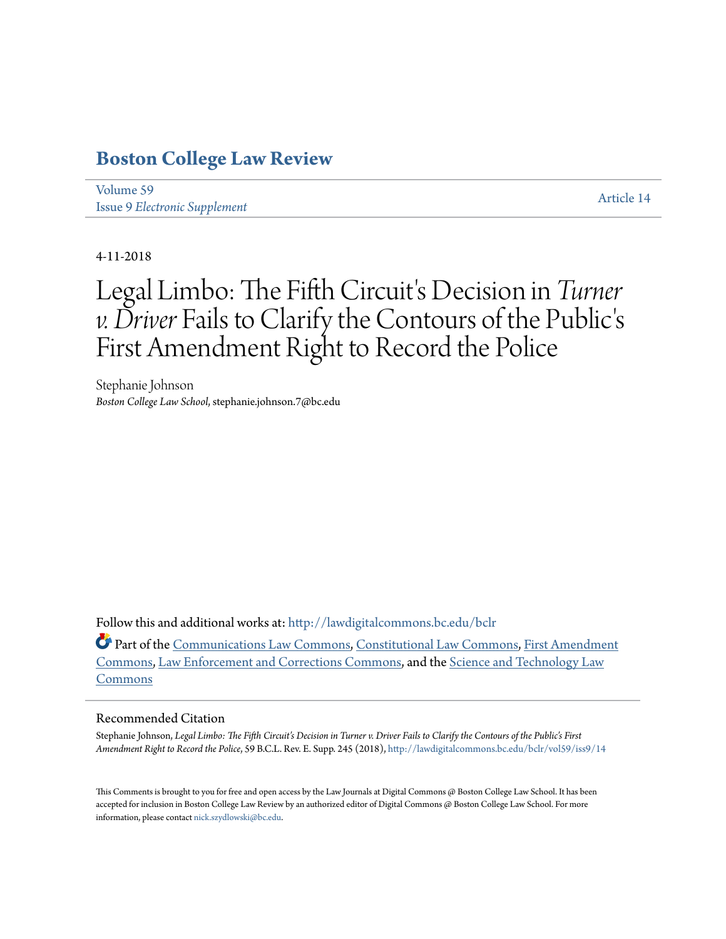# **[Boston College Law Review](http://lawdigitalcommons.bc.edu/bclr?utm_source=lawdigitalcommons.bc.edu%2Fbclr%2Fvol59%2Fiss9%2F14&utm_medium=PDF&utm_campaign=PDFCoverPages)**

[Volume 59](http://lawdigitalcommons.bc.edu/bclr/vol59?utm_source=lawdigitalcommons.bc.edu%2Fbclr%2Fvol59%2Fiss9%2F14&utm_medium=PDF&utm_campaign=PDFCoverPages) Issue 9 *[Electronic Supplement](http://lawdigitalcommons.bc.edu/bclr/vol59/iss9?utm_source=lawdigitalcommons.bc.edu%2Fbclr%2Fvol59%2Fiss9%2F14&utm_medium=PDF&utm_campaign=PDFCoverPages)*

[Article 14](http://lawdigitalcommons.bc.edu/bclr/vol59/iss9/14?utm_source=lawdigitalcommons.bc.edu%2Fbclr%2Fvol59%2Fiss9%2F14&utm_medium=PDF&utm_campaign=PDFCoverPages)

4-11-2018

# Legal Limbo: The Fifth Circuit's Decision in *Turner v. Driver* Fails to Clarify the Contours of the Public' s First Amendment Right to Record the Police

Stephanie Johnson *Boston College Law School*, stephanie.johnson.7@bc.edu

Follow this and additional works at: [http://lawdigitalcommons.bc.edu/bclr](http://lawdigitalcommons.bc.edu/bclr?utm_source=lawdigitalcommons.bc.edu%2Fbclr%2Fvol59%2Fiss9%2F14&utm_medium=PDF&utm_campaign=PDFCoverPages)

Part of the [Communications Law Commons,](http://network.bepress.com/hgg/discipline/587?utm_source=lawdigitalcommons.bc.edu%2Fbclr%2Fvol59%2Fiss9%2F14&utm_medium=PDF&utm_campaign=PDFCoverPages) [Constitutional Law Commons](http://network.bepress.com/hgg/discipline/589?utm_source=lawdigitalcommons.bc.edu%2Fbclr%2Fvol59%2Fiss9%2F14&utm_medium=PDF&utm_campaign=PDFCoverPages), [First Amendment](http://network.bepress.com/hgg/discipline/1115?utm_source=lawdigitalcommons.bc.edu%2Fbclr%2Fvol59%2Fiss9%2F14&utm_medium=PDF&utm_campaign=PDFCoverPages) [Commons,](http://network.bepress.com/hgg/discipline/1115?utm_source=lawdigitalcommons.bc.edu%2Fbclr%2Fvol59%2Fiss9%2F14&utm_medium=PDF&utm_campaign=PDFCoverPages) [Law Enforcement and Corrections Commons,](http://network.bepress.com/hgg/discipline/854?utm_source=lawdigitalcommons.bc.edu%2Fbclr%2Fvol59%2Fiss9%2F14&utm_medium=PDF&utm_campaign=PDFCoverPages) and the [Science and Technology Law](http://network.bepress.com/hgg/discipline/875?utm_source=lawdigitalcommons.bc.edu%2Fbclr%2Fvol59%2Fiss9%2F14&utm_medium=PDF&utm_campaign=PDFCoverPages) [Commons](http://network.bepress.com/hgg/discipline/875?utm_source=lawdigitalcommons.bc.edu%2Fbclr%2Fvol59%2Fiss9%2F14&utm_medium=PDF&utm_campaign=PDFCoverPages)

# Recommended Citation

Stephanie Johnson, *Legal Limbo: The Fifth Circuit's Decision in Turner v. Driver Fails to Clarify the Contours of the Public's First Amendment Right to Record the Police*, 59 B.C.L. Rev. E. Supp. 245 (2018), [http://lawdigitalcommons.bc.edu/bclr/vol59/iss9/14](http://lawdigitalcommons.bc.edu/bclr/vol59/iss9/14?utm_source=lawdigitalcommons.bc.edu%2Fbclr%2Fvol59%2Fiss9%2F14&utm_medium=PDF&utm_campaign=PDFCoverPages)

This Comments is brought to you for free and open access by the Law Journals at Digital Commons @ Boston College Law School. It has been accepted for inclusion in Boston College Law Review by an authorized editor of Digital Commons @ Boston College Law School. For more information, please contact [nick.szydlowski@bc.edu](mailto:nick.szydlowski@bc.edu).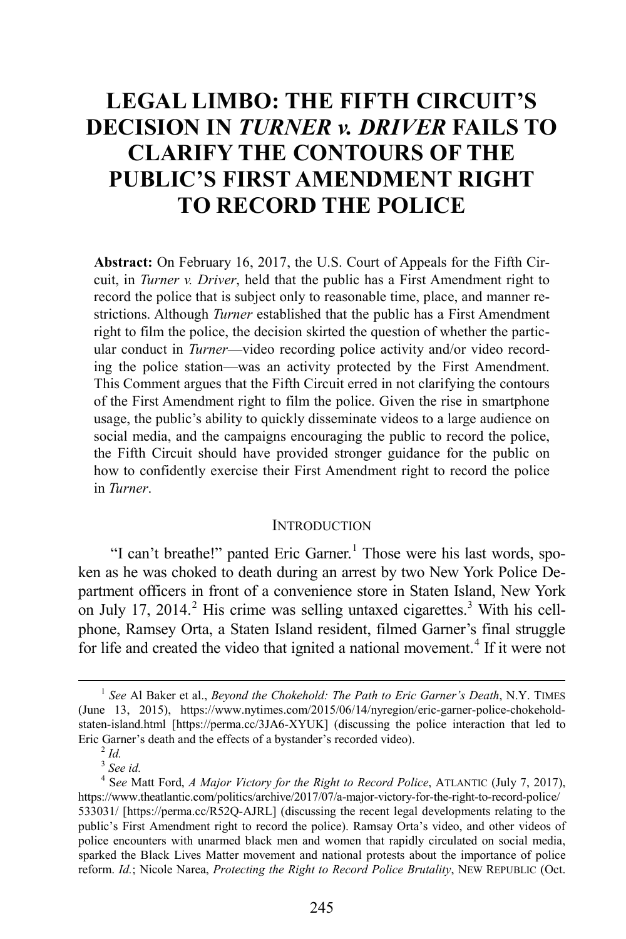# **LEGAL LIMBO: THE FIFTH CIRCUIT'S DECISION IN** *TURNER v. DRIVER* **FAILS TO CLARIFY THE CONTOURS OF THE PUBLIC'S FIRST AMENDMENT RIGHT TO RECORD THE POLICE**

**Abstract:** On February 16, 2017, the U.S. Court of Appeals for the Fifth Circuit, in *Turner v. Driver*, held that the public has a First Amendment right to record the police that is subject only to reasonable time, place, and manner restrictions. Although *Turner* established that the public has a First Amendment right to film the police, the decision skirted the question of whether the particular conduct in *Turner*—video recording police activity and/or video recording the police station—was an activity protected by the First Amendment. This Comment argues that the Fifth Circuit erred in not clarifying the contours of the First Amendment right to film the police. Given the rise in smartphone usage, the public's ability to quickly disseminate videos to a large audience on social media, and the campaigns encouraging the public to record the police, the Fifth Circuit should have provided stronger guidance for the public on how to confidently exercise their First Amendment right to record the police in *Turner*.

#### <span id="page-1-4"></span>**INTRODUCTION**

"I can't breathe!" panted Eric Garner.<sup>[1](#page-1-0)</sup> Those were his last words, spoken as he was choked to death during an arrest by two New York Police Department officers in front of a convenience store in Staten Island, New York on July 17, [2](#page-1-1)014.<sup>2</sup> His crime was selling untaxed cigarettes.<sup>[3](#page-1-2)</sup> With his cellphone, Ramsey Orta, a Staten Island resident, filmed Garner's final struggle for life and created the video that ignited a national movement.<sup>[4](#page-1-3)</sup> If it were not

<span id="page-1-0"></span><sup>&</sup>lt;sup>1</sup> See Al Baker et al., *Beyond the Chokehold: The Path to Eric Garner's Death*, N.Y. TIMES (June 13, 2015), https://www.nytimes.com/2015/06/14/nyregion/eric-garner-police-chokeholdstaten-island.html [https://perma.cc/3JA6-XYUK] (discussing the police interaction that led to Eric Garner's death and the effects of a bystander's recorded video). 2 *Id.*

 $3$  See *id.* 

<span id="page-1-3"></span><span id="page-1-2"></span><span id="page-1-1"></span>S*ee* Matt Ford, *A Major Victory for the Right to Record Police*, ATLANTIC (July 7, 2017), https://www.theatlantic.com/politics/archive/2017/07/a-major-victory-for-the-right-to-record-police/ 533031/ [https://perma.cc/R52Q-AJRL] (discussing the recent legal developments relating to the public's First Amendment right to record the police). Ramsay Orta's video, and other videos of police encounters with unarmed black men and women that rapidly circulated on social media, sparked the Black Lives Matter movement and national protests about the importance of police reform. *Id.*; Nicole Narea, *Protecting the Right to Record Police Brutality*, NEW REPUBLIC (Oct.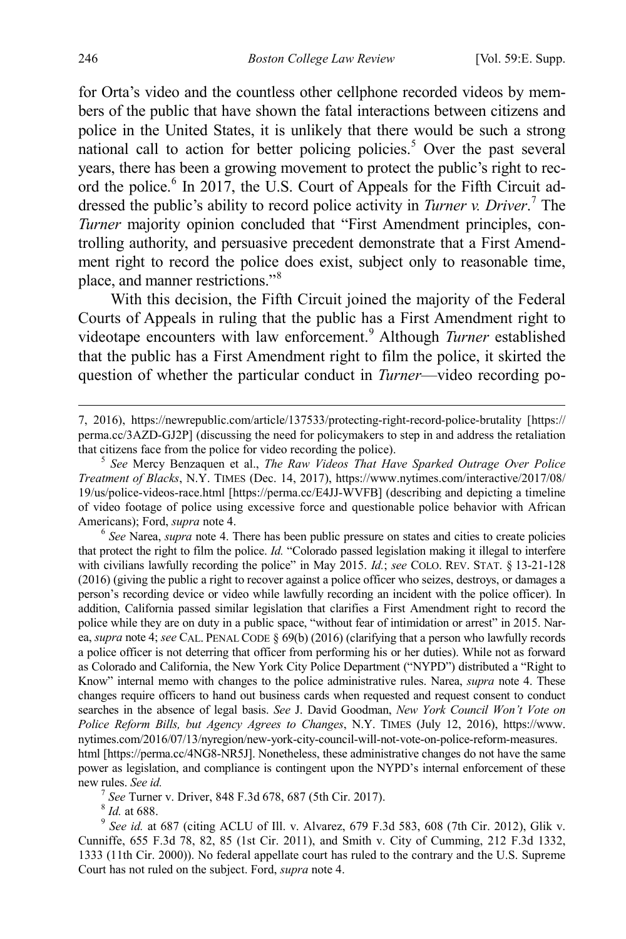for Orta's video and the countless other cellphone recorded videos by members of the public that have shown the fatal interactions between citizens and police in the United States, it is unlikely that there would be such a strong national call to action for better policing policies.<sup>[5](#page-2-0)</sup> Over the past several years, there has been a growing movement to protect the public's right to rec-ord the police.<sup>[6](#page-2-1)</sup> In 2017, the U.S. Court of Appeals for the Fifth Circuit addressed the public's ability to record police activity in *Turner v. Driver*. [7](#page-2-2) The *Turner* majority opinion concluded that "First Amendment principles, controlling authority, and persuasive precedent demonstrate that a First Amendment right to record the police does exist, subject only to reasonable time, place, and manner restrictions."[8](#page-2-3)

With this decision, the Fifth Circuit joined the majority of the Federal Courts of Appeals in ruling that the public has a First Amendment right to videotape encounters with law enforcement.<sup>[9](#page-2-4)</sup> Although *Turner* established that the public has a First Amendment right to film the police, it skirted the question of whether the particular conduct in *Turner*—video recording po-

<span id="page-2-1"></span>that protect the right to film the police. *Id.* "Colorado passed legislation making it illegal to interfere with civilians lawfully recording the police" in May 2015. *Id.*; *see* COLO. REV. STAT. § 13-21-128 (2016) (giving the public a right to recover against a police officer who seizes, destroys, or damages a person's recording device or video while lawfully recording an incident with the police officer). In addition, California passed similar legislation that clarifies a First Amendment right to record the police while they are on duty in a public space, "without fear of intimidation or arrest" in 2015. Narea, *supra* not[e 4;](#page-1-4) *see* CAL. PENAL CODE § 69(b) (2016) (clarifying that a person who lawfully records a police officer is not deterring that officer from performing his or her duties). While not as forward as Colorado and California, the New York City Police Department ("NYPD") distributed a "Right to Know" internal memo with changes to the police administrative rules. Narea, *supra* note [4.](#page-1-4) These changes require officers to hand out business cards when requested and request consent to conduct searches in the absence of legal basis. *See* J. David Goodman, *New York Council Won't Vote on Police Reform Bills, but Agency Agrees to Changes*, N.Y. TIMES (July 12, 2016), https://www. nytimes.com/2016/07/13/nyregion/new-york-city-council-will-not-vote-on-police-reform-measures. html [https://perma.cc/4NG8-NR5J]. Nonetheless, these administrative changes do not have the same

<span id="page-2-2"></span>power as legislation, and compliance is contingent upon the NYPD's internal enforcement of these new rules. *See id.* <sup>7</sup> *See* Turner v. Driver, 848 F.3d 678, 687 (5th Cir. 2017). <sup>8</sup> *Id.* at 688. <sup>9</sup> *See id.* at 687 (citing ACLU of Ill. v. Alvarez, 679 F.3d 583, 608 (7th Cir. 2012), Glik v.

<span id="page-2-4"></span><span id="page-2-3"></span>Cunniffe, 655 F.3d 78, 82, 85 (1st Cir. 2011), and Smith v. City of Cumming, 212 F.3d 1332, 1333 (11th Cir. 2000)). No federal appellate court has ruled to the contrary and the U.S. Supreme Court has not ruled on the subject. Ford, *supra* not[e 4.](#page-1-4) 

 <sup>7, 2016),</sup> https://newrepublic.com/article/137533/protecting-right-record-police-brutality [https:// perma.cc/3AZD-GJ2P] (discussing the need for policymakers to step in and address the retaliation that citizens face from the police for video recording the police). <sup>5</sup> *See* Mercy Benzaquen et al., *The Raw Videos That Have Sparked Outrage Over Police* 

<span id="page-2-0"></span>*Treatment of Blacks*, N.Y. TIMES (Dec. 14, 2017), https://www.nytimes.com/interactive/2017/08/ 19/us/police-videos-race.html [https://perma.cc/E4JJ-WVFB] (describing and depicting a timeline of video footage of police using excessive force and questionable police behavior with African Americans); Ford, *supra* not[e 4.](#page-1-4)<br><sup>6</sup> *See* Narea, *supra* note 4. There has been public pressure on states and cities to create policies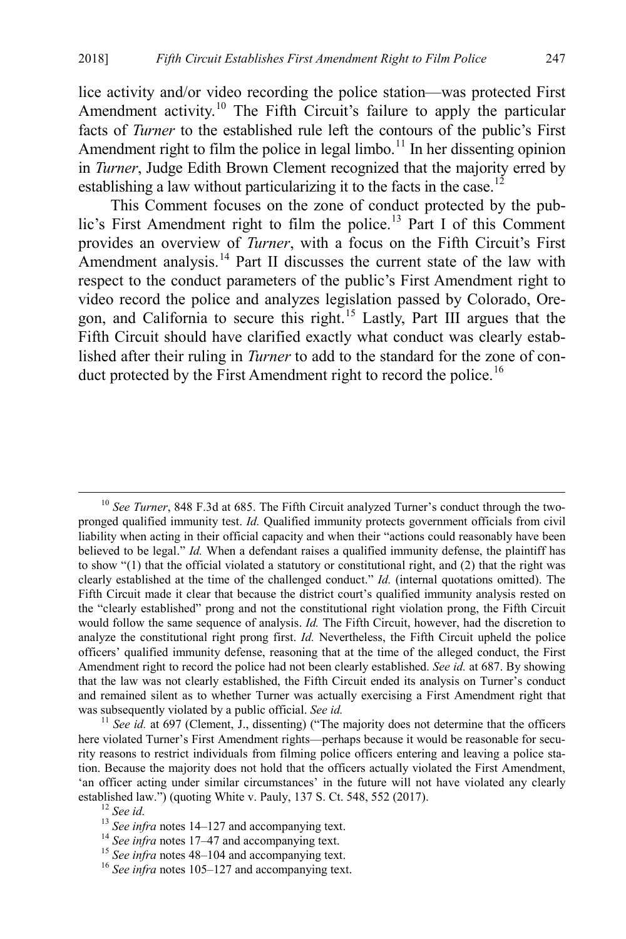lice activity and/or video recording the police station—was protected First Amendment activity.<sup>[10](#page-3-0)</sup> The Fifth Circuit's failure to apply the particular facts of *Turner* to the established rule left the contours of the public's First Amendment right to film the police in legal limbo.<sup>[11](#page-3-1)</sup> In her dissenting opinion in *Turner*, Judge Edith Brown Clement recognized that the majority erred by establishing a law without particularizing it to the facts in the case.<sup>[12](#page-3-2)</sup>

This Comment focuses on the zone of conduct protected by the pub-lic's First Amendment right to film the police.<sup>[13](#page-3-3)</sup> Part I of this Comment provides an overview of *Turner*, with a focus on the Fifth Circuit's First Amendment analysis.<sup>[14](#page-3-4)</sup> Part II discusses the current state of the law with respect to the conduct parameters of the public's First Amendment right to video record the police and analyzes legislation passed by Colorado, Ore-gon, and California to secure this right.<sup>[15](#page-3-5)</sup> Lastly, Part III argues that the Fifth Circuit should have clarified exactly what conduct was clearly established after their ruling in *Turner* to add to the standard for the zone of con-duct protected by the First Amendment right to record the police.<sup>[16](#page-3-6)</sup>

<span id="page-3-0"></span> <sup>10</sup> *See Turner*, 848 F.3d at 685. The Fifth Circuit analyzed Turner's conduct through the twopronged qualified immunity test. *Id.* Qualified immunity protects government officials from civil liability when acting in their official capacity and when their "actions could reasonably have been believed to be legal." *Id.* When a defendant raises a qualified immunity defense, the plaintiff has to show "(1) that the official violated a statutory or constitutional right, and (2) that the right was clearly established at the time of the challenged conduct." *Id.* (internal quotations omitted). The Fifth Circuit made it clear that because the district court's qualified immunity analysis rested on the "clearly established" prong and not the constitutional right violation prong, the Fifth Circuit would follow the same sequence of analysis. *Id.* The Fifth Circuit, however, had the discretion to analyze the constitutional right prong first. *Id.* Nevertheless, the Fifth Circuit upheld the police officers' qualified immunity defense, reasoning that at the time of the alleged conduct, the First Amendment right to record the police had not been clearly established. *See id.* at 687. By showing that the law was not clearly established, the Fifth Circuit ended its analysis on Turner's conduct and remained silent as to whether Turner was actually exercising a First Amendment right that was subsequently violated by a public official. *See id.*<br><sup>11</sup> *See id.* at 697 (Clement, J., dissenting) ("The majority does not determine that the officers")

<span id="page-3-1"></span>here violated Turner's First Amendment rights—perhaps because it would be reasonable for security reasons to restrict individuals from filming police officers entering and leaving a police station. Because the majority does not hold that the officers actually violated the First Amendment, 'an officer acting under similar circumstances' in the future will not have violated any clearly established law.") (quoting White v. Pauly, 137 S. Ct. 548, 552 (2017).<br>
<sup>12</sup> See id.<br>
<sup>13</sup> See infra notes 14–127 and accompanying text.<br>
<sup>14</sup> See infra note[s 17–](#page-4-0)[47](#page-7-0) and accompanying text.<br>
<sup>15</sup> See infra notes [48–](#page-7-1)[104](#page-14-0) and

<span id="page-3-4"></span><span id="page-3-3"></span><span id="page-3-2"></span>

<span id="page-3-5"></span>

<span id="page-3-6"></span>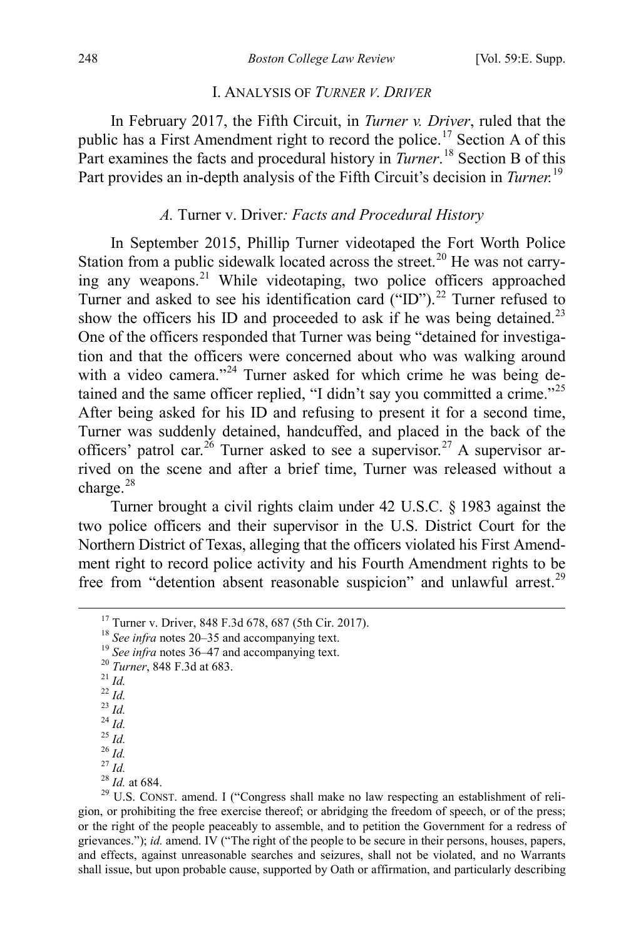#### <span id="page-4-1"></span><span id="page-4-0"></span>I. ANALYSIS OF *TURNER V. DRIVER*

In February 2017, the Fifth Circuit, in *Turner v. Driver*, ruled that the public has a First Amendment right to record the police.<sup>[17](#page-4-2)</sup> Section A of this Part examines the facts and procedural history in *Turner*.<sup>[18](#page-4-3)</sup> Section B of this Part provides an in-depth analysis of the Fifth Circuit's decision in *Turner.*[19](#page-4-4)

## *A.* Turner v. Driver*: Facts and Procedural History*

In September 2015, Phillip Turner videotaped the Fort Worth Police Station from a public sidewalk located across the street.<sup>[20](#page-4-5)</sup> He was not carrying any weapons.[21](#page-4-6) While videotaping, two police officers approached Turner and asked to see his identification card  $(\text{``ID''})$ .<sup>[22](#page-4-7)</sup> Turner refused to show the officers his ID and proceeded to ask if he was being detained.<sup>[23](#page-4-8)</sup> One of the officers responded that Turner was being "detained for investigation and that the officers were concerned about who was walking around with a video camera."<sup>[24](#page-4-9)</sup> Turner asked for which crime he was being de-tained and the same officer replied, "I didn't say you committed a crime."<sup>[25](#page-4-10)</sup> After being asked for his ID and refusing to present it for a second time, Turner was suddenly detained, handcuffed, and placed in the back of the officers' patrol car.<sup>[26](#page-4-11)</sup> Turner asked to see a supervisor.<sup>[27](#page-4-12)</sup> A supervisor arrived on the scene and after a brief time, Turner was released without a charge.<sup>[28](#page-4-13)</sup>

Turner brought a civil rights claim under 42 U.S.C. § 1983 against the two police officers and their supervisor in the U.S. District Court for the Northern District of Texas, alleging that the officers violated his First Amendment right to record police activity and his Fourth Amendment rights to be free from "detention absent reasonable suspicion" and unlawful arrest.<sup>[29](#page-4-14)</sup>

- <span id="page-4-8"></span>
- 
- <span id="page-4-9"></span>
- <span id="page-4-11"></span><span id="page-4-10"></span>
- 
- <span id="page-4-12"></span>
- <span id="page-4-14"></span><span id="page-4-13"></span>

<span id="page-4-7"></span>

<span id="page-4-6"></span><span id="page-4-5"></span><span id="page-4-4"></span><span id="page-4-3"></span><span id="page-4-2"></span><sup>&</sup>lt;sup>17</sup> Turner v. Driver, 848 F.3d 678, 687 (5th Cir. 2017).<br>
<sup>18</sup> See infra note[s 20–](#page-4-1)[35](#page-6-0) and accompanying text.<br>
<sup>19</sup> See infra note[s 36–](#page-6-1)[47](#page-7-0) and accompanying text.<br>
<sup>20</sup> Turner, 848 F.3d at 683.<br>
<sup>21</sup> Id.<br>
<sup>22</sup> Id.<br>
<sup>23</sup> Id.<br> gion, or prohibiting the free exercise thereof; or abridging the freedom of speech, or of the press; or the right of the people peaceably to assemble, and to petition the Government for a redress of grievances."); *id.* amend. IV ("The right of the people to be secure in their persons, houses, papers, and effects, against unreasonable searches and seizures, shall not be violated, and no Warrants shall issue, but upon probable cause, supported by Oath or affirmation, and particularly describing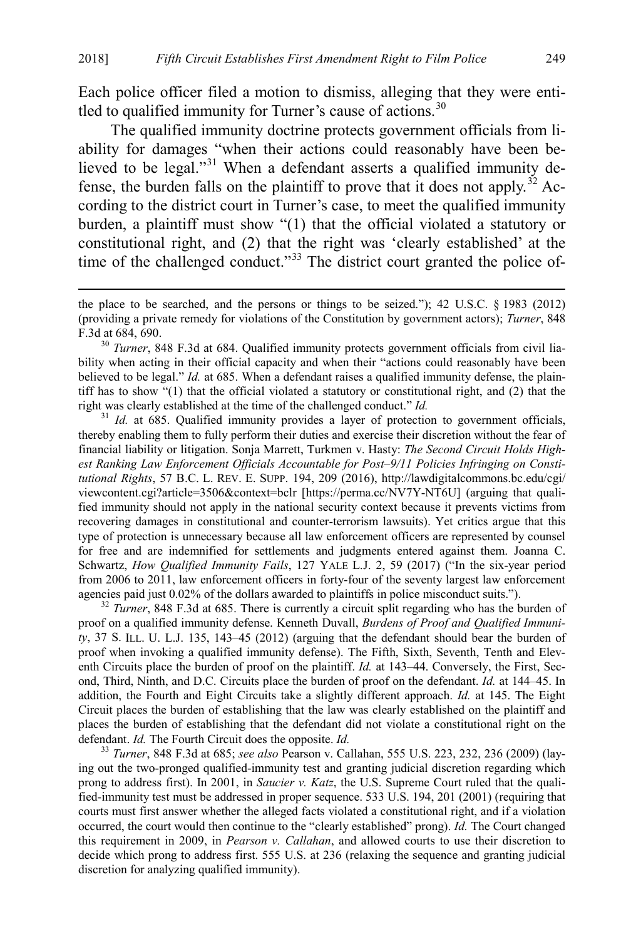Each police officer filed a motion to dismiss, alleging that they were enti-tled to qualified immunity for Turner's cause of actions.<sup>[30](#page-5-0)</sup>

The qualified immunity doctrine protects government officials from liability for damages "when their actions could reasonably have been believed to be legal."[31](#page-5-1) When a defendant asserts a qualified immunity de-fense, the burden falls on the plaintiff to prove that it does not apply.<sup>[32](#page-5-2)</sup> According to the district court in Turner's case, to meet the qualified immunity burden, a plaintiff must show "(1) that the official violated a statutory or constitutional right, and (2) that the right was 'clearly established' at the time of the challenged conduct."<sup>[33](#page-5-3)</sup> The district court granted the police of-

<span id="page-5-1"></span><sup>31</sup> *Id.* at 685. Qualified immunity provides a layer of protection to government officials, thereby enabling them to fully perform their duties and exercise their discretion without the fear of financial liability or litigation. Sonja Marrett, Turkmen v. Hasty: *The Second Circuit Holds Highest Ranking Law Enforcement Officials Accountable for Post–9/11 Policies Infringing on Constitutional Rights*, 57 B.C. L. REV. E. SUPP. 194, 209 (2016), http://lawdigitalcommons.bc.edu/cgi/ viewcontent.cgi?article=3506&context=bclr [https://perma.cc/NV7Y-NT6U] (arguing that qualified immunity should not apply in the national security context because it prevents victims from recovering damages in constitutional and counter-terrorism lawsuits). Yet critics argue that this type of protection is unnecessary because all law enforcement officers are represented by counsel for free and are indemnified for settlements and judgments entered against them. Joanna C. Schwartz, *How Qualified Immunity Fails*, 127 YALE L.J. 2, 59 (2017) ("In the six-year period from 2006 to 2011, law enforcement officers in forty-four of the seventy largest law enforcement agencies paid just 0.02% of the dollars awarded to plaintiffs in police misconduct suits.").<br><sup>32</sup> *Turner*, 848 F.3d at 685. There is currently a circuit split regarding who has the burden of

<span id="page-5-2"></span>proof on a qualified immunity defense. Kenneth Duvall, *Burdens of Proof and Qualified Immunity*, 37 S. ILL. U. L.J. 135, 143–45 (2012) (arguing that the defendant should bear the burden of proof when invoking a qualified immunity defense). The Fifth, Sixth, Seventh, Tenth and Eleventh Circuits place the burden of proof on the plaintiff. *Id.* at 143–44. Conversely, the First, Second, Third, Ninth, and D.C. Circuits place the burden of proof on the defendant. *Id.* at 144–45. In addition, the Fourth and Eight Circuits take a slightly different approach. *Id.* at 145. The Eight Circuit places the burden of establishing that the law was clearly established on the plaintiff and places the burden of establishing that the defendant did not violate a constitutional right on the defendant. *Id.* The Fourth Circuit does the opposite. *Id.* 33 *Turner*, 848 F.3d at 685; *see also* Pearson v. Callahan, 555 U.S. 223, 232, 236 (2009) (lay-

<span id="page-5-3"></span>ing out the two-pronged qualified-immunity test and granting judicial discretion regarding which prong to address first). In 2001, in *Saucier v. Katz*, the U.S. Supreme Court ruled that the qualified-immunity test must be addressed in proper sequence. 533 U.S. 194, 201 (2001) (requiring that courts must first answer whether the alleged facts violated a constitutional right, and if a violation occurred, the court would then continue to the "clearly established" prong). *Id.* The Court changed this requirement in 2009, in *Pearson v. Callahan*, and allowed courts to use their discretion to decide which prong to address first. 555 U.S. at 236 (relaxing the sequence and granting judicial discretion for analyzing qualified immunity).

the place to be searched, and the persons or things to be seized."); 42 U.S.C. § 1983 (2012) (providing a private remedy for violations of the Constitution by government actors); *Turner*, 848 F.3d at 684, 690.

<span id="page-5-0"></span><sup>&</sup>lt;sup>30</sup> *Turner*, 848 F.3d at 684. Qualified immunity protects government officials from civil liability when acting in their official capacity and when their "actions could reasonably have been believed to be legal." *Id.* at 685. When a defendant raises a qualified immunity defense, the plaintiff has to show "(1) that the official violated a statutory or constitutional right, and (2) that the right was clearly established at the time of the challenged conduct."  $Id$ .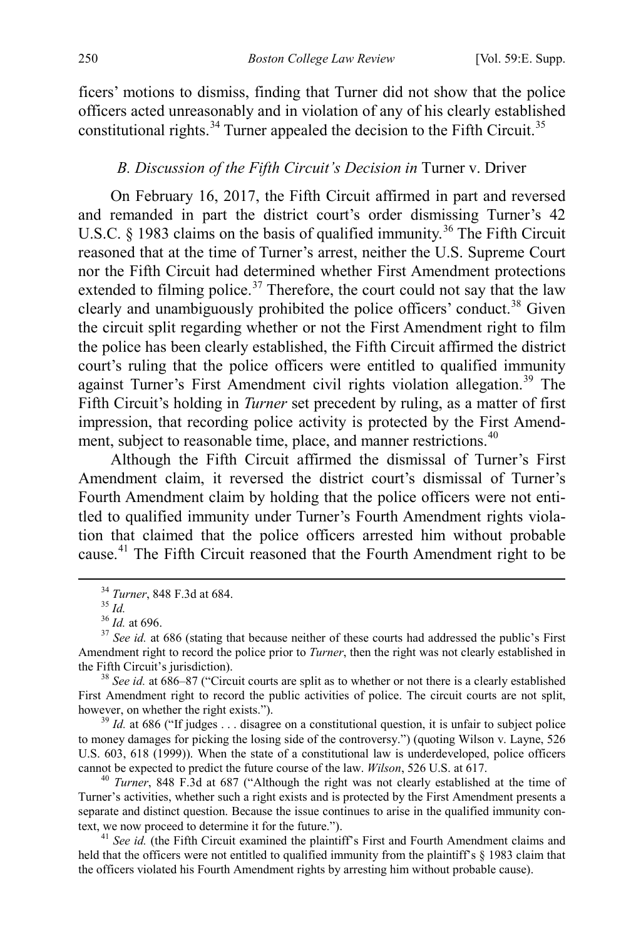ficers' motions to dismiss, finding that Turner did not show that the police officers acted unreasonably and in violation of any of his clearly established constitutional rights.<sup>[34](#page-6-2)</sup> Turner appealed the decision to the Fifth Circuit.<sup>[35](#page-6-3)</sup>

#### <span id="page-6-1"></span><span id="page-6-0"></span>*B. Discussion of the Fifth Circuit's Decision in* Turner v. Driver

On February 16, 2017, the Fifth Circuit affirmed in part and reversed and remanded in part the district court's order dismissing Turner's 42 U.S.C. § 1983 claims on the basis of qualified immunity.<sup>[36](#page-6-4)</sup> The Fifth Circuit reasoned that at the time of Turner's arrest, neither the U.S. Supreme Court nor the Fifth Circuit had determined whether First Amendment protections extended to filming police.<sup>[37](#page-6-5)</sup> Therefore, the court could not say that the law clearly and unambiguously prohibited the police officers' conduct.<sup>[38](#page-6-6)</sup> Given the circuit split regarding whether or not the First Amendment right to film the police has been clearly established, the Fifth Circuit affirmed the district court's ruling that the police officers were entitled to qualified immunity against Turner's First Amendment civil rights violation allegation.<sup>[39](#page-6-7)</sup> The Fifth Circuit's holding in *Turner* set precedent by ruling, as a matter of first impression, that recording police activity is protected by the First Amend-ment, subject to reasonable time, place, and manner restrictions.<sup>[40](#page-6-8)</sup>

Although the Fifth Circuit affirmed the dismissal of Turner's First Amendment claim, it reversed the district court's dismissal of Turner's Fourth Amendment claim by holding that the police officers were not entitled to qualified immunity under Turner's Fourth Amendment rights violation that claimed that the police officers arrested him without probable cause.[41](#page-6-9) The Fifth Circuit reasoned that the Fourth Amendment right to be

<span id="page-6-7"></span>to money damages for picking the losing side of the controversy.") (quoting Wilson v. Layne, 526 U.S. 603, 618 (1999)). When the state of a constitutional law is underdeveloped, police officers cannot be expected to predict the future course of the law. *Wilson*, 526 U.S. at 617.<br><sup>40</sup> *Turner*, 848 F.3d at 687 ("Although the right was not clearly established at the time of

<span id="page-6-8"></span>Turner's activities, whether such a right exists and is protected by the First Amendment presents a separate and distinct question. Because the issue continues to arise in the qualified immunity context, we now proceed to determine it for the future.").

<span id="page-6-9"></span><sup>41</sup> See id. (the Fifth Circuit examined the plaintiff's First and Fourth Amendment claims and held that the officers were not entitled to qualified immunity from the plaintiff's § 1983 claim that the officers violated his Fourth Amendment rights by arresting him without probable cause).

<span id="page-6-5"></span><span id="page-6-4"></span><span id="page-6-3"></span><span id="page-6-2"></span><sup>&</sup>lt;sup>34</sup> *Turner*, 848 F.3d at 684.<br><sup>35</sup> *Id.* 36 *Id.* at 696.<br><sup>36</sup> *Id.* at 696.<br><sup>37</sup> *See id.* at 686 (stating that because neither of these courts had addressed the public's First Amendment right to record the police prior to *Turner*, then the right was not clearly established in the Fifth Circuit's jurisdiction). 38 *See id.* at 686–87 ("Circuit courts are split as to whether or not there is a clearly established

<span id="page-6-6"></span>First Amendment right to record the public activities of police. The circuit courts are not split, however, on whether the right exists.").<br><sup>39</sup> *Id.* at 686 ("If judges . . . disagree on a constitutional question, it is unfair to subject police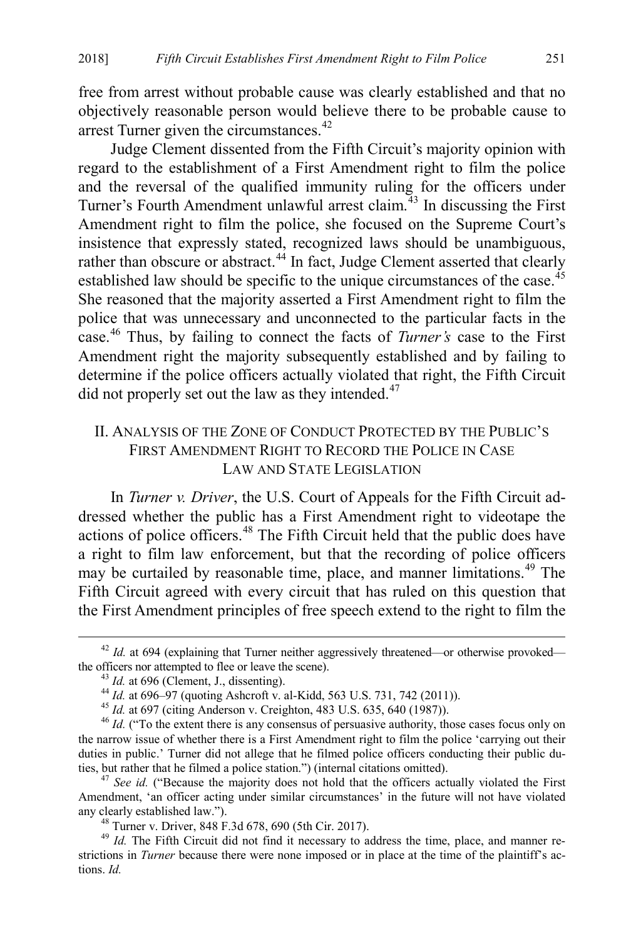free from arrest without probable cause was clearly established and that no objectively reasonable person would believe there to be probable cause to arrest Turner given the circumstances.<sup>[42](#page-7-2)</sup>

Judge Clement dissented from the Fifth Circuit's majority opinion with regard to the establishment of a First Amendment right to film the police and the reversal of the qualified immunity ruling for the officers under Turner's Fourth Amendment unlawful arrest claim.<sup>[43](#page-7-3)</sup> In discussing the First Amendment right to film the police, she focused on the Supreme Court's insistence that expressly stated, recognized laws should be unambiguous, rather than obscure or abstract.<sup>44</sup> In fact, Judge Clement asserted that clearly established law should be specific to the unique circumstances of the case.<sup>[45](#page-7-5)</sup> She reasoned that the majority asserted a First Amendment right to film the police that was unnecessary and unconnected to the particular facts in the case.[46](#page-7-6) Thus, by failing to connect the facts of *Turner's* case to the First Amendment right the majority subsequently established and by failing to determine if the police officers actually violated that right, the Fifth Circuit did not properly set out the law as they intended.<sup>[47](#page-7-7)</sup>

# <span id="page-7-0"></span>II. ANALYSIS OF THE ZONE OF CONDUCT PROTECTED BY THE PUBLIC'S FIRST AMENDMENT RIGHT TO RECORD THE POLICE IN CASE LAW AND STATE LEGISLATION

<span id="page-7-1"></span>In *Turner v. Driver*, the U.S. Court of Appeals for the Fifth Circuit addressed whether the public has a First Amendment right to videotape the actions of police officers.<sup>[48](#page-7-8)</sup> The Fifth Circuit held that the public does have a right to film law enforcement, but that the recording of police officers may be curtailed by reasonable time, place, and manner limitations.<sup>[49](#page-7-9)</sup> The Fifth Circuit agreed with every circuit that has ruled on this question that the First Amendment principles of free speech extend to the right to film the

<span id="page-7-2"></span> $42$  *Id.* at 694 (explaining that Turner neither aggressively threatened—or otherwise provoked—the officers nor attempted to flee or leave the scene).

<span id="page-7-6"></span><span id="page-7-5"></span><span id="page-7-4"></span><span id="page-7-3"></span><sup>&</sup>lt;sup>43</sup> *Id.* at 696 (Clement, J., dissenting).<br><sup>44</sup> *Id.* at 696–97 (quoting Ashcroft v. al-Kidd, 563 U.S. 731, 742 (2011)).<br><sup>45</sup> *Id.* at 697 (citing Anderson v. Creighton, 483 U.S. 635, 640 (1987)).<br><sup>46</sup> *Id.* ("To the ex the narrow issue of whether there is a First Amendment right to film the police 'carrying out their duties in public.' Turner did not allege that he filmed police officers conducting their public duties, but rather that he filmed a police station.") (internal citations omitted). 47 *See id.* ("Because the majority does not hold that the officers actually violated the First

<span id="page-7-7"></span>Amendment, 'an officer acting under similar circumstances' in the future will not have violated any clearly established law.").<br><sup>48</sup> Turner v. Driver, 848 F.3d 678, 690 (5th Cir. 2017).<br><sup>49</sup> *Id.* The Fifth Circuit did not find it necessary to address the time, place, and manner re-

<span id="page-7-9"></span><span id="page-7-8"></span>strictions in *Turner* because there were none imposed or in place at the time of the plaintiff's actions. *Id.*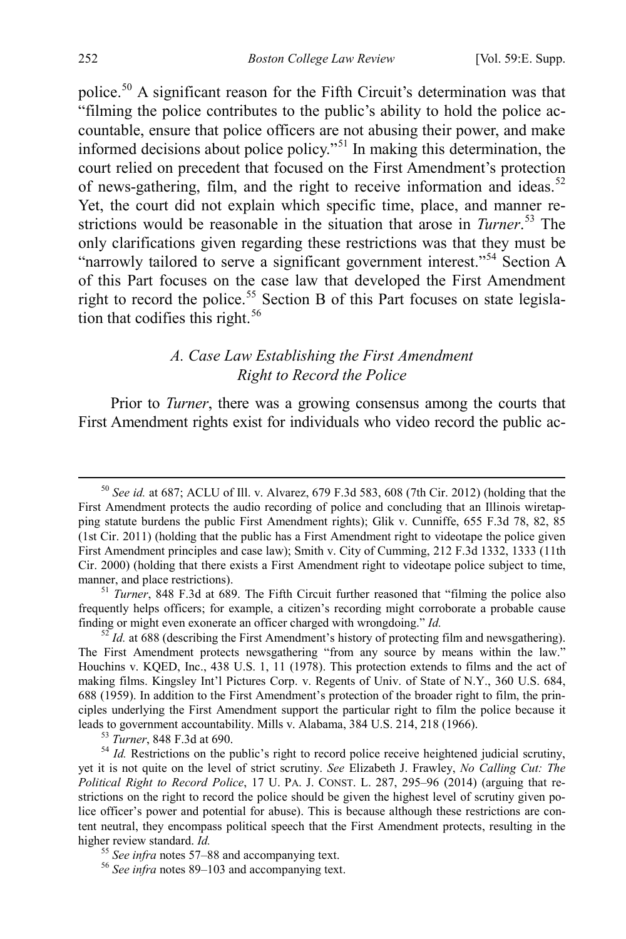police.[50](#page-8-0) A significant reason for the Fifth Circuit's determination was that "filming the police contributes to the public's ability to hold the police accountable, ensure that police officers are not abusing their power, and make informed decisions about police policy."[51](#page-8-1) In making this determination, the court relied on precedent that focused on the First Amendment's protection of news-gathering, film, and the right to receive information and ideas.<sup>[52](#page-8-2)</sup> Yet, the court did not explain which specific time, place, and manner restrictions would be reasonable in the situation that arose in *Turner*. [53](#page-8-3) The only clarifications given regarding these restrictions was that they must be "narrowly tailored to serve a significant government interest."[54](#page-8-4) Section A of this Part focuses on the case law that developed the First Amendment right to record the police.<sup>[55](#page-8-5)</sup> Section B of this Part focuses on state legislation that codifies this right. $56$ 

# *A. Case Law Establishing the First Amendment Right to Record the Police*

Prior to *Turner*, there was a growing consensus among the courts that First Amendment rights exist for individuals who video record the public ac-

<span id="page-8-0"></span> <sup>50</sup> *See id.* at 687; ACLU of Ill. v. Alvarez, 679 F.3d 583, 608 (7th Cir. 2012) (holding that the First Amendment protects the audio recording of police and concluding that an Illinois wiretapping statute burdens the public First Amendment rights); Glik v. Cunniffe, 655 F.3d 78, 82, 85 (1st Cir. 2011) (holding that the public has a First Amendment right to videotape the police given First Amendment principles and case law); Smith v. City of Cumming, 212 F.3d 1332, 1333 (11th Cir. 2000) (holding that there exists a First Amendment right to videotape police subject to time,

<span id="page-8-1"></span><sup>&</sup>lt;sup>51</sup> *Turner*, 848 F.3d at 689. The Fifth Circuit further reasoned that "filming the police also frequently helps officers; for example, a citizen's recording might corroborate a probable cause finding or might even exonerate an officer charged with wrongdoing." *Id.* <sup>52</sup> *Id.* at 688 (describing the First Amendment's history of protecting film and newsgathering).

<span id="page-8-2"></span>The First Amendment protects newsgathering "from any source by means within the law." Houchins v. KQED, Inc., 438 U.S. 1, 11 (1978). This protection extends to films and the act of making films. Kingsley Int'l Pictures Corp. v. Regents of Univ. of State of N.Y., 360 U.S. 684, 688 (1959). In addition to the First Amendment's protection of the broader right to film, the principles underlying the First Amendment support the particular right to film the police because it leads to government accountability. Mills v. Alabama, 384 U.S. 214, 218 (1966).

<span id="page-8-4"></span><span id="page-8-3"></span><sup>&</sup>lt;sup>53</sup> *Turner*, 848 F.3d at 690. **53** *Turner*, 848 F.3d at 690.  $\frac{54}{1}$  *Id.* Restrictions on the public's right to record police receive heightened judicial scrutiny, yet it is not quite on the level of strict scrutiny. *See* Elizabeth J. Frawley, *No Calling Cut: The Political Right to Record Police*, 17 U. PA. J. CONST. L. 287, 295–96 (2014) (arguing that restrictions on the right to record the police should be given the highest level of scrutiny given police officer's power and potential for abuse). This is because although these restrictions are content neutral, they encompass political speech that the First Amendment protects, resulting in the higher review standard. *Id.*<br><sup>55</sup> *See infra* note[s 57–](#page-9-0)[88](#page-12-0) and accompanying text.<br><sup>56</sup> *See infra* note[s 89–](#page-12-1)[103](#page-14-2) and accompanying text.

<span id="page-8-6"></span><span id="page-8-5"></span>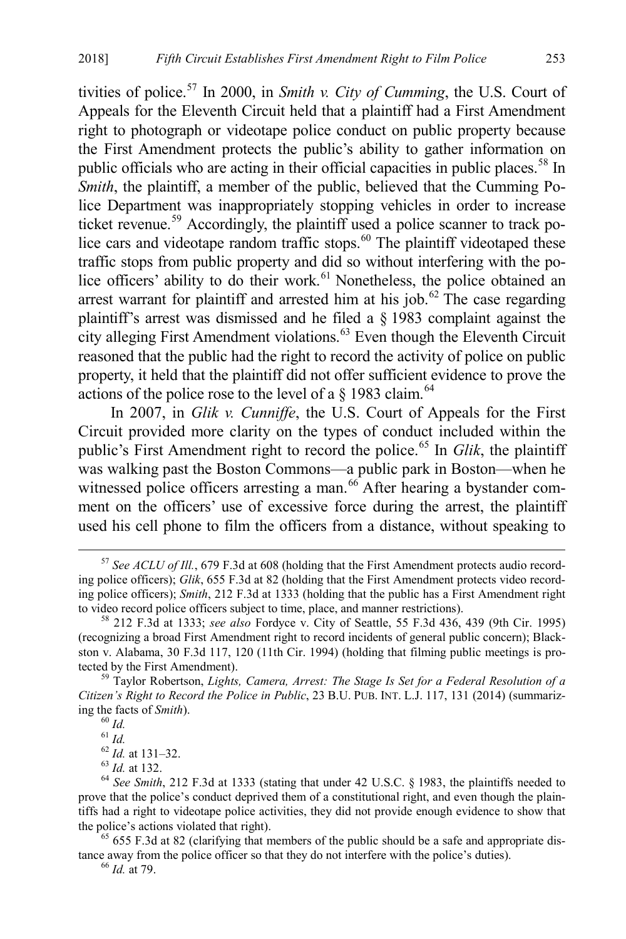<span id="page-9-0"></span>tivities of police.[57](#page-9-1) In 2000, in *Smith v. City of Cumming*, the U.S. Court of Appeals for the Eleventh Circuit held that a plaintiff had a First Amendment right to photograph or videotape police conduct on public property because the First Amendment protects the public's ability to gather information on public officials who are acting in their official capacities in public places.<sup>[58](#page-9-2)</sup> In *Smith*, the plaintiff, a member of the public, believed that the Cumming Police Department was inappropriately stopping vehicles in order to increase ticket revenue.[59](#page-9-3) Accordingly, the plaintiff used a police scanner to track po-lice cars and videotape random traffic stops.<sup>[60](#page-9-4)</sup> The plaintiff videotaped these traffic stops from public property and did so without interfering with the po-lice officers' ability to do their work.<sup>[61](#page-9-5)</sup> Nonetheless, the police obtained an arrest warrant for plaintiff and arrested him at his job.<sup>[62](#page-9-6)</sup> The case regarding plaintiff's arrest was dismissed and he filed a § 1983 complaint against the city alleging First Amendment violations.<sup>[63](#page-9-7)</sup> Even though the Eleventh Circuit reasoned that the public had the right to record the activity of police on public property, it held that the plaintiff did not offer sufficient evidence to prove the actions of the police rose to the level of a  $\S$  1983 claim.<sup>[64](#page-9-8)</sup>

In 2007, in *Glik v. Cunniffe*, the U.S. Court of Appeals for the First Circuit provided more clarity on the types of conduct included within the public's First Amendment right to record the police.[65](#page-9-9) In *Glik*, the plaintiff was walking past the Boston Commons—a public park in Boston—when he witnessed police officers arresting a man.<sup>[66](#page-9-10)</sup> After hearing a bystander comment on the officers' use of excessive force during the arrest, the plaintiff used his cell phone to film the officers from a distance, without speaking to

<span id="page-9-1"></span> <sup>57</sup> *See ACLU of Ill.*, 679 F.3d at 608 (holding that the First Amendment protects audio recording police officers); *Glik*, 655 F.3d at 82 (holding that the First Amendment protects video recording police officers); *Smith*, 212 F.3d at 1333 (holding that the public has a First Amendment right to video record police officers subject to time, place, and manner restrictions). 58 212 F.3d at 1333; *see also* Fordyce v. City of Seattle, 55 F.3d 436, 439 (9th Cir. 1995)

<span id="page-9-2"></span><sup>(</sup>recognizing a broad First Amendment right to record incidents of general public concern); Blackston v. Alabama, 30 F.3d 117, 120 (11th Cir. 1994) (holding that filming public meetings is protected by the First Amendment). <sup>59</sup> Taylor Robertson, *Lights, Camera, Arrest: The Stage Is Set for a Federal Resolution of a* 

<span id="page-9-4"></span><span id="page-9-3"></span>*Citizen's Right to Record the Police in Public*, 23 B.U. PUB. INT. L.J. 117, 131 (2014) (summarizing the facts of *Smith*).<br>
<sup>60</sup> *Id.*<br>
<sup>61</sup> *Id.* <sup>61</sup> *Id.* at 131–32.<br>
<sup>63</sup> *Id.* at 132.<br>
<sup>64</sup> *See Smith*, 212 F.3d at 1333 (stating that under 42 U.S.C. § 1983, the plaintiffs needed to

<span id="page-9-8"></span><span id="page-9-7"></span><span id="page-9-6"></span><span id="page-9-5"></span>prove that the police's conduct deprived them of a constitutional right, and even though the plaintiffs had a right to videotape police activities, they did not provide enough evidence to show that the police's actions violated that right).<br><sup>65</sup> 655 F.3d at 82 (clarifying that members of the public should be a safe and appropriate dis-

<span id="page-9-10"></span><span id="page-9-9"></span>tance away from the police officer so that they do not interfere with the police's duties). 66 *Id.* at 79.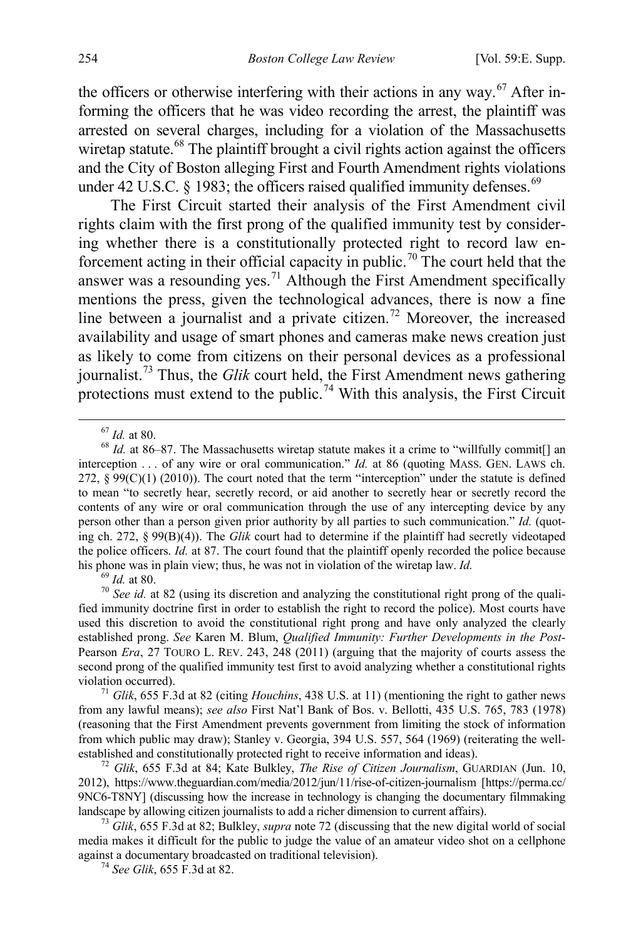the officers or otherwise interfering with their actions in any way.<sup>[67](#page-10-1)</sup> After informing the officers that he was video recording the arrest, the plaintiff was arrested on several charges, including for a violation of the Massachusetts wiretap statute.<sup>[68](#page-10-2)</sup> The plaintiff brought a civil rights action against the officers and the City of Boston alleging First and Fourth Amendment rights violations under 42 U.S.C.  $\&$  1983; the officers raised qualified immunity defenses.<sup>[69](#page-10-3)</sup>

The First Circuit started their analysis of the First Amendment civil rights claim with the first prong of the qualified immunity test by considering whether there is a constitutionally protected right to record law en-forcement acting in their official capacity in public.<sup>[70](#page-10-4)</sup> The court held that the answer was a resounding yes.<sup>[71](#page-10-5)</sup> Although the First Amendment specifically mentions the press, given the technological advances, there is now a fine line between a journalist and a private citizen.<sup>[72](#page-10-6)</sup> Moreover, the increased availability and usage of smart phones and cameras make news creation just as likely to come from citizens on their personal devices as a professional journalist.[73](#page-10-7) Thus, the *Glik* court held, the First Amendment news gathering protections must extend to the public.<sup>[74](#page-10-8)</sup> With this analysis, the First Circuit

<span id="page-10-4"></span><span id="page-10-3"></span><sup>69</sup> *Id.* at 80. *ID. Id.* at 80. *ID.**Id.* **at 82 (using its discretion and analyzing the constitutional right prong of the quali**fied immunity doctrine first in order to establish the right to record the police). Most courts have used this discretion to avoid the constitutional right prong and have only analyzed the clearly established prong. *See* Karen M. Blum, *Qualified Immunity: Further Developments in the Post-*Pearson *Era*, 27 TOURO L. REV. 243, 248 (2011) (arguing that the majority of courts assess the second prong of the qualified immunity test first to avoid analyzing whether a constitutional rights violation occurred). <sup>71</sup> *Glik*, 655 F.3d at 82 (citing *Houchins*, 438 U.S. at 11) (mentioning the right to gather news

<span id="page-10-5"></span>from any lawful means); *see also* First Nat'l Bank of Bos. v. Bellotti, 435 U.S. 765, 783 (1978) (reasoning that the First Amendment prevents government from limiting the stock of information from which public may draw); Stanley v. Georgia, 394 U.S. 557, 564 (1969) (reiterating the wellestablished and constitutionally protected right to receive information and ideas). <sup>72</sup> *Glik*, 655 F.3d at 84; Kate Bulkley, *The Rise of Citizen Journalism*, GUARDIAN (Jun. 10,

<span id="page-10-6"></span>2012), https://www.theguardian.com/media/2012/jun/11/rise-of-citizen-journalism [https://perma.cc/ 9NC6-T8NY] (discussing how the increase in technology is changing the documentary filmmaking landscape by allowing citizen journalists to add a richer dimension to current affairs). <sup>73</sup> *Glik*, 655 F.3d at 82; Bulkley, *supra* note [72](#page-10-0) (discussing that the new digital world of social

<span id="page-10-8"></span><span id="page-10-7"></span>media makes it difficult for the public to judge the value of an amateur video shot on a cellphone against a documentary broadcasted on traditional television). 74 *See Glik*, 655 F.3d at 82.

<span id="page-10-0"></span>

<span id="page-10-2"></span><span id="page-10-1"></span><sup>&</sup>lt;sup>67</sup> *Id.* at 80.<br><sup>68</sup> *Id.* at 86–87. The Massachusetts wiretap statute makes it a crime to "willfully commit[] an interception . . . of any wire or oral communication." *Id.* at 86 (quoting MASS. GEN. LAWS ch.  $272, 899(C)(1)$  (2010)). The court noted that the term "interception" under the statute is defined to mean "to secretly hear, secretly record, or aid another to secretly hear or secretly record the contents of any wire or oral communication through the use of any intercepting device by any person other than a person given prior authority by all parties to such communication." *Id.* (quoting ch. 272, § 99(B)(4)). The *Glik* court had to determine if the plaintiff had secretly videotaped the police officers. *Id.* at 87. The court found that the plaintiff openly recorded the police because his phone was in plain view; thus, he was not in violation of the wiretap law. *Id.*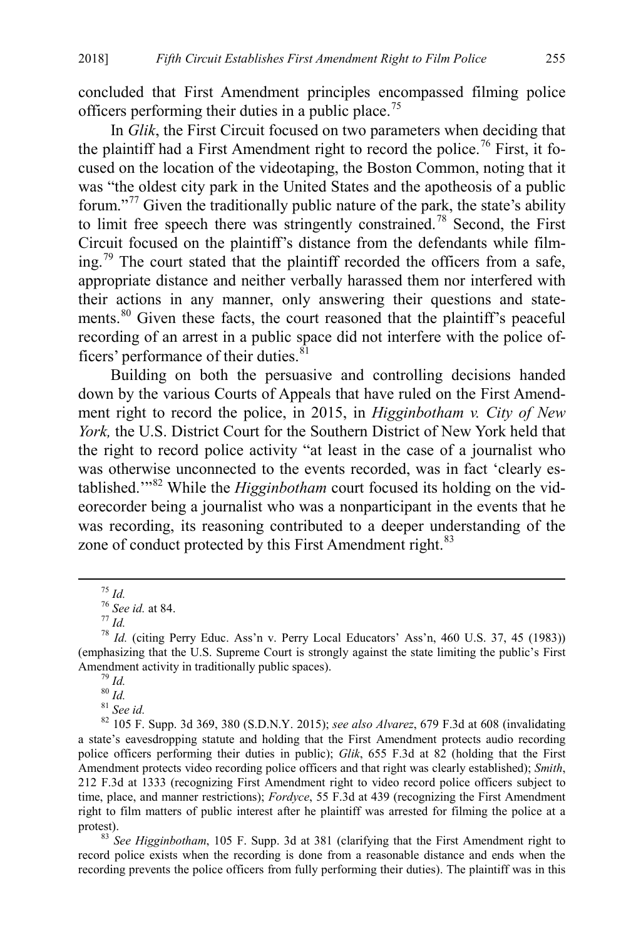concluded that First Amendment principles encompassed filming police officers performing their duties in a public place.<sup>[75](#page-11-0)</sup>

In *Glik*, the First Circuit focused on two parameters when deciding that the plaintiff had a First Amendment right to record the police.<sup>[76](#page-11-1)</sup> First, it focused on the location of the videotaping, the Boston Common, noting that it was "the oldest city park in the United States and the apotheosis of a public forum."[77](#page-11-2) Given the traditionally public nature of the park, the state's ability to limit free speech there was stringently constrained.<sup>[78](#page-11-3)</sup> Second, the First Circuit focused on the plaintiff's distance from the defendants while film- $\frac{1}{2}$ . The court stated that the plaintiff recorded the officers from a safe, appropriate distance and neither verbally harassed them nor interfered with their actions in any manner, only answering their questions and state-ments.<sup>[80](#page-11-5)</sup> Given these facts, the court reasoned that the plaintiff's peaceful recording of an arrest in a public space did not interfere with the police officers' performance of their duties. $81$ 

Building on both the persuasive and controlling decisions handed down by the various Courts of Appeals that have ruled on the First Amendment right to record the police, in 2015, in *Higginbotham v. City of New York,* the U.S. District Court for the Southern District of New York held that the right to record police activity "at least in the case of a journalist who was otherwise unconnected to the events recorded, was in fact 'clearly established.'"[82](#page-11-7) While the *Higginbotham* court focused its holding on the videorecorder being a journalist who was a nonparticipant in the events that he was recording, its reasoning contributed to a deeper understanding of the zone of conduct protected by this First Amendment right.<sup>[83](#page-11-8)</sup>

<span id="page-11-3"></span><span id="page-11-2"></span><span id="page-11-1"></span><span id="page-11-0"></span><sup>&</sup>lt;sup>75</sup> *Id.*<br><sup>76</sup> *See id.* at 84.<br><sup>77</sup> *Id.* (citing Perry Educ. Ass'n v. Perry Local Educators' Ass'n, 460 U.S. 37, 45 (1983)) (emphasizing that the U.S. Supreme Court is strongly against the state limiting the public's First Amendment activity in traditionally public spaces).<br><sup>79</sup> *Id.*<br><sup>81</sup> *See id.* <sup>81</sup> *See id.* 82 105 F. Supp. 3d 369, 380 (S.D.N.Y. 2015); *see also Alvarez*, 679 F.3d at 608 (invalidating

<span id="page-11-7"></span><span id="page-11-6"></span><span id="page-11-5"></span><span id="page-11-4"></span>a state's eavesdropping statute and holding that the First Amendment protects audio recording police officers performing their duties in public); *Glik*, 655 F.3d at 82 (holding that the First Amendment protects video recording police officers and that right was clearly established); *Smith*, 212 F.3d at 1333 (recognizing First Amendment right to video record police officers subject to time, place, and manner restrictions); *Fordyce*, 55 F.3d at 439 (recognizing the First Amendment right to film matters of public interest after he plaintiff was arrested for filming the police at a protest). 83 *See Higginbotham*, 105 F. Supp. 3d at 381 (clarifying that the First Amendment right to

<span id="page-11-8"></span>record police exists when the recording is done from a reasonable distance and ends when the recording prevents the police officers from fully performing their duties). The plaintiff was in this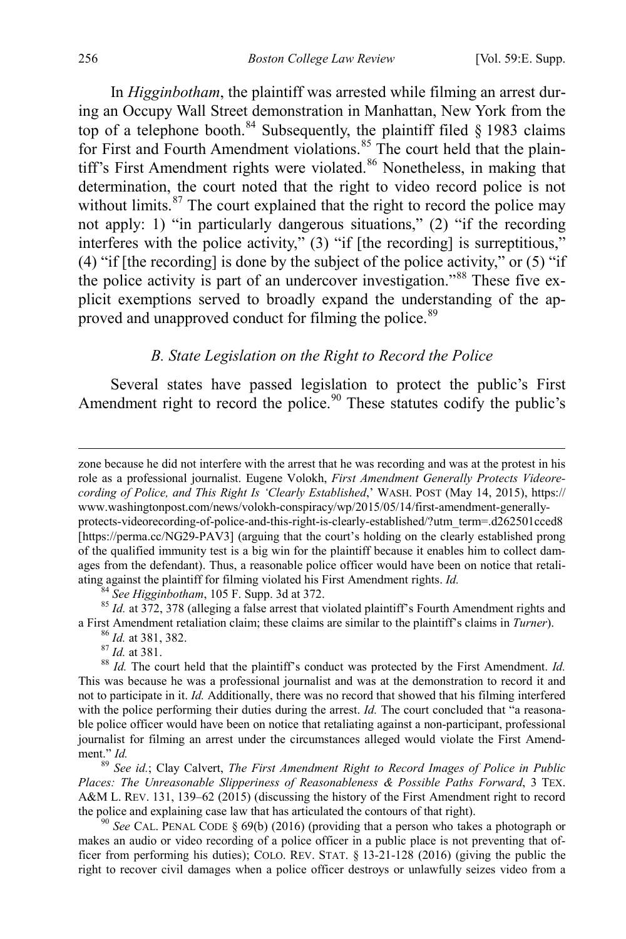In *Higginbotham*, the plaintiff was arrested while filming an arrest during an Occupy Wall Street demonstration in Manhattan, New York from the top of a telephone booth.<sup>[84](#page-12-2)</sup> Subsequently, the plaintiff filed  $\S$  1983 claims for First and Fourth Amendment violations.<sup>[85](#page-12-3)</sup> The court held that the plain-tiff's First Amendment rights were violated.<sup>[86](#page-12-4)</sup> Nonetheless, in making that determination, the court noted that the right to video record police is not without limits. $87$  The court explained that the right to record the police may not apply: 1) "in particularly dangerous situations," (2) "if the recording interferes with the police activity," (3) "if [the recording] is surreptitious," (4) "if [the recording] is done by the subject of the police activity," or  $(5)$  "if the police activity is part of an undercover investigation."[88](#page-12-6) These five explicit exemptions served to broadly expand the understanding of the ap-proved and unapproved conduct for filming the police.<sup>[89](#page-12-7)</sup>

## <span id="page-12-1"></span><span id="page-12-0"></span>*B. State Legislation on the Right to Record the Police*

Several states have passed legislation to protect the public's First Amendment right to record the police.<sup>[90](#page-12-8)</sup> These statutes codify the public's

 zone because he did not interfere with the arrest that he was recording and was at the protest in his role as a professional journalist. Eugene Volokh, *First Amendment Generally Protects Videorecording of Police, and This Right Is 'Clearly Established*,' WASH. POST (May 14, 2015), https:// www.washingtonpost.com/news/volokh-conspiracy/wp/2015/05/14/first-amendment-generallyprotects-videorecording-of-police-and-this-right-is-clearly-established/?utm\_term=.d262501cced8 [https://perma.cc/NG29-PAV3] (arguing that the court's holding on the clearly established prong of the qualified immunity test is a big win for the plaintiff because it enables him to collect damages from the defendant). Thus, a reasonable police officer would have been on notice that retali-

<span id="page-12-2"></span>ating against the plaintiff for filming violated his First Amendment rights. *Id.*<br><sup>84</sup> See Higginbotham, 105 F. Supp. 3d at 372.<br><sup>85</sup> *Id.* at 372, 378 (alleging a false arrest that violated plaintiff's Fourth Amendment

<span id="page-12-6"></span><span id="page-12-5"></span><span id="page-12-4"></span><span id="page-12-3"></span><sup>86</sup> *Id.* at 381, 382.<br><sup>87</sup> *Id.* at 381.<br><sup>87</sup> *Id.* at 381.<br><sup>88</sup> *Id.* The court held that the plaintiff's conduct was protected by the First Amendment. *Id.* This was because he was a professional journalist and was at the demonstration to record it and not to participate in it. *Id.* Additionally, there was no record that showed that his filming interfered with the police performing their duties during the arrest. *Id*. The court concluded that "a reasonable police officer would have been on notice that retaliating against a non-participant, professional journalist for filming an arrest under the circumstances alleged would violate the First Amend-<br>ment."  $Id$ .

<span id="page-12-7"></span><sup>89</sup> See *id.*; Clay Calvert, *The First Amendment Right to Record Images of Police in Public Places: The Unreasonable Slipperiness of Reasonableness & Possible Paths Forward*, 3 TEX. A&M L. REV. 131, 139–62 (2015) (discussing the history of the First Amendment right to record the police and explaining case law that has articulated the contours of that right). <sup>90</sup> *See* CAL. PENAL CODE § 69(b) (2016) (providing that a person who takes a photograph or

<span id="page-12-8"></span>makes an audio or video recording of a police officer in a public place is not preventing that officer from performing his duties); COLO. REV. STAT. § 13-21-128 (2016) (giving the public the right to recover civil damages when a police officer destroys or unlawfully seizes video from a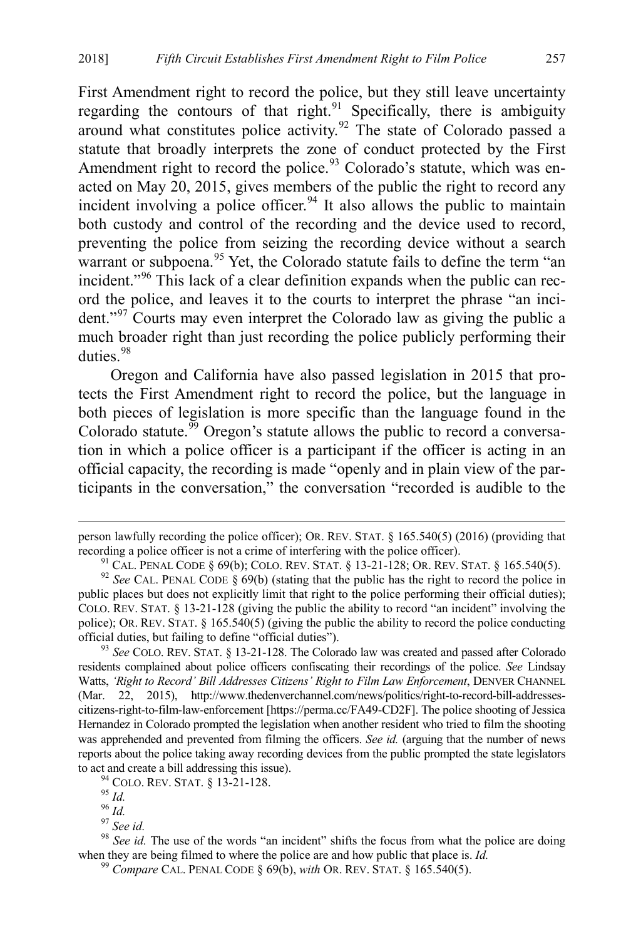First Amendment right to record the police, but they still leave uncertainty regarding the contours of that right. $91$  Specifically, there is ambiguity around what constitutes police activity.<sup>92</sup> The state of Colorado passed a statute that broadly interprets the zone of conduct protected by the First Amendment right to record the police.<sup>[93](#page-13-2)</sup> Colorado's statute, which was enacted on May 20, 2015, gives members of the public the right to record any incident involving a police officer.<sup>[94](#page-13-3)</sup> It also allows the public to maintain both custody and control of the recording and the device used to record, preventing the police from seizing the recording device without a search warrant or subpoena.<sup>[95](#page-13-4)</sup> Yet, the Colorado statute fails to define the term "an incident."<sup>96</sup> This lack of a clear definition expands when the public can record the police, and leaves it to the courts to interpret the phrase "an inci-dent."<sup>[97](#page-13-6)</sup> Courts may even interpret the Colorado law as giving the public a much broader right than just recording the police publicly performing their duties.<sup>[98](#page-13-7)</sup>

Oregon and California have also passed legislation in 2015 that protects the First Amendment right to record the police, but the language in both pieces of legislation is more specific than the language found in the Colorado statute.<sup>[99](#page-13-8)</sup> Oregon's statute allows the public to record a conversation in which a police officer is a participant if the officer is acting in an official capacity, the recording is made "openly and in plain view of the participants in the conversation," the conversation "recorded is audible to the

person lawfully recording the police officer); OR. REV. STAT. § 165.540(5) (2016) (providing that recording a police officer is not a crime of interfering with the police officer).<br><sup>91</sup> CAL. PENAL CODE § 69(b); COLO. REV. STAT. § 13-21-128; OR. REV. STAT. § 165.540(5).<br><sup>92</sup> See CAL. PENAL CODE § 69(b) (stating that th

<span id="page-13-1"></span><span id="page-13-0"></span>public places but does not explicitly limit that right to the police performing their official duties); COLO. REV. STAT. § 13-21-128 (giving the public the ability to record "an incident" involving the police); OR. REV. STAT. § 165.540(5) (giving the public the ability to record the police conducting official duties, but failing to define "official duties"). <sup>93</sup> *See* COLO. REV. STAT. § 13-21-128. The Colorado law was created and passed after Colorado

<span id="page-13-2"></span>residents complained about police officers confiscating their recordings of the police. *See* Lindsay Watts, *'Right to Record' Bill Addresses Citizens' Right to Film Law Enforcement*, DENVER CHANNEL (Mar. 22, 2015), http://www.thedenverchannel.com/news/politics/right-to-record-bill-addressescitizens-right-to-film-law-enforcement [https://perma.cc/FA49-CD2F]. The police shooting of Jessica Hernandez in Colorado prompted the legislation when another resident who tried to film the shooting was apprehended and prevented from filming the officers. *See id.* (arguing that the number of news reports about the police taking away recording devices from the public prompted the state legislators to act and create a bill addressing this issue).<br>
<sup>94</sup> COLO. REV. STAT. § 13-21-128.<br>
<sup>95</sup> *Id.*<br>
<sup>96</sup> *Id.*<br>
<sup>97</sup> *See id.*<br>
<sup>98</sup> *See id.* The use of the words "an incident" shifts the focus from what the police are doi

<span id="page-13-8"></span><span id="page-13-7"></span><span id="page-13-6"></span><span id="page-13-5"></span><span id="page-13-4"></span><span id="page-13-3"></span>when they are being filmed to where the police are and how public that place is. *Id.* <sup>99</sup> *Compare* CAL. PENAL CODE § 69(b), *with* OR. REV. STAT. § 165.540(5).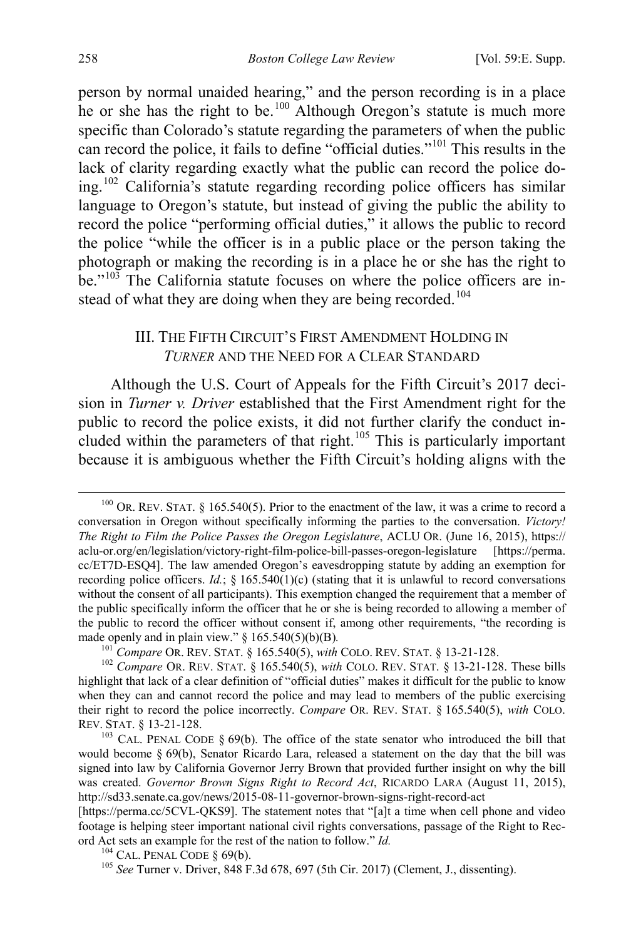person by normal unaided hearing," and the person recording is in a place he or she has the right to be.<sup>[100](#page-14-3)</sup> Although Oregon's statute is much more specific than Colorado's statute regarding the parameters of when the public can record the police, it fails to define "official duties."[101](#page-14-4) This results in the lack of clarity regarding exactly what the public can record the police doing.[102](#page-14-5) California's statute regarding recording police officers has similar language to Oregon's statute, but instead of giving the public the ability to record the police "performing official duties," it allows the public to record the police "while the officer is in a public place or the person taking the photograph or making the recording is in a place he or she has the right to be."[103](#page-14-6) The California statute focuses on where the police officers are in-stead of what they are doing when they are being recorded.<sup>[104](#page-14-7)</sup>

## <span id="page-14-2"></span><span id="page-14-1"></span><span id="page-14-0"></span>III. THE FIFTH CIRCUIT'S FIRST AMENDMENT HOLDING IN *TURNER* AND THE NEED FOR A CLEAR STANDARD

Although the U.S. Court of Appeals for the Fifth Circuit's 2017 decision in *Turner v. Driver* established that the First Amendment right for the public to record the police exists, it did not further clarify the conduct in-cluded within the parameters of that right.<sup>[105](#page-14-8)</sup> This is particularly important because it is ambiguous whether the Fifth Circuit's holding aligns with the

<span id="page-14-3"></span> $100$  OR. REV. STAT. § 165.540(5). Prior to the enactment of the law, it was a crime to record a conversation in Oregon without specifically informing the parties to the conversation. *Victory! The Right to Film the Police Passes the Oregon Legislature*, ACLU OR. (June 16, 2015), https:// aclu-or.org/en/legislation/victory-right-film-police-bill-passes-oregon-legislature [https://perma. cc/ET7D-ESQ4]. The law amended Oregon's eavesdropping statute by adding an exemption for recording police officers. *Id.*; § 165.540(1)(c) (stating that it is unlawful to record conversations without the consent of all participants). This exemption changed the requirement that a member of the public specifically inform the officer that he or she is being recorded to allowing a member of the public to record the officer without consent if, among other requirements, "the recording is made openly and in plain view." § 165.540(5)(b)(B).<br>
<sup>101</sup> Compare OR. REV. STAT. § 165.540(5), with COLO. REV. STAT. § 13-21-128.<br>
<sup>102</sup> Compare OR. REV. STAT. § 165.540(5), with COLO. REV. STAT. § 13-21-128. These bills

<span id="page-14-5"></span><span id="page-14-4"></span>highlight that lack of a clear definition of "official duties" makes it difficult for the public to know when they can and cannot record the police and may lead to members of the public exercising their right to record the police incorrectly. *Compare* OR. REV. STAT. § 165.540(5), *with* COLO.

<span id="page-14-6"></span> $103$  CAL. PENAL CODE § 69(b). The office of the state senator who introduced the bill that would become § 69(b), Senator Ricardo Lara, released a statement on the day that the bill was signed into law by California Governor Jerry Brown that provided further insight on why the bill was created. *Governor Brown Signs Right to Record Act*, RICARDO LARA (August 11, 2015), http://sd33.senate.ca.gov/news/2015-08-11-governor-brown-signs-right-record-act

<span id="page-14-8"></span><span id="page-14-7"></span><sup>[</sup>https://perma.cc/5CVL-QKS9]. The statement notes that "[a]t a time when cell phone and video footage is helping steer important national civil rights conversations, passage of the Right to Record Act sets an example for the rest of the nation to follow." *Id.* <sup>104</sup> CAL. PENAL CODE § 69(b). <sup>105</sup> *See* Turner v. Driver, 848 F.3d 678, 697 (5th Cir. 2017) (Clement, J., dissenting).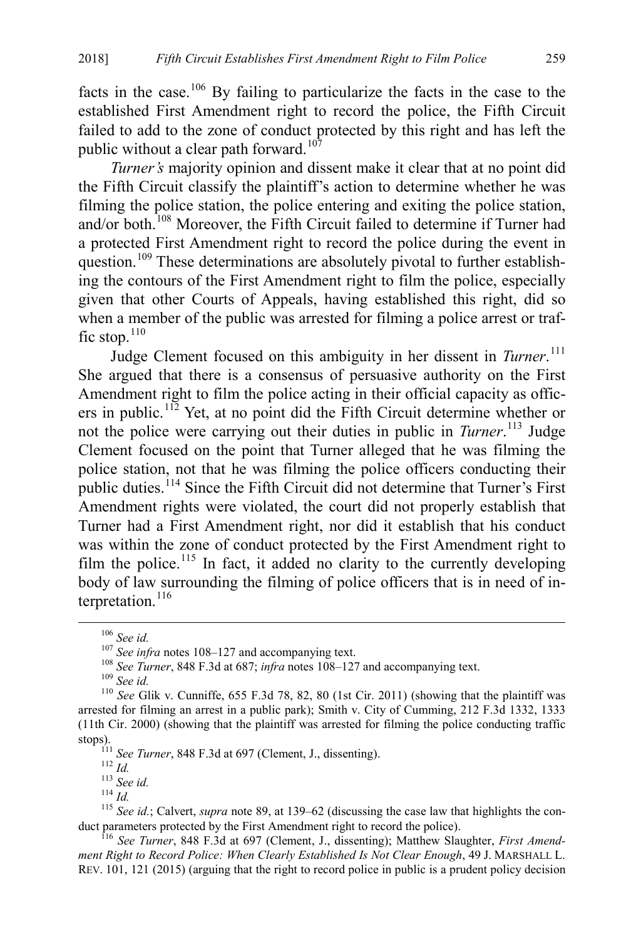facts in the case.<sup>106</sup> By failing to particularize the facts in the case to the established First Amendment right to record the police, the Fifth Circuit failed to add to the zone of conduct protected by this right and has left the public without a clear path forward.<sup>[107](#page-15-2)</sup>

<span id="page-15-0"></span>*Turner's* majority opinion and dissent make it clear that at no point did the Fifth Circuit classify the plaintiff's action to determine whether he was filming the police station, the police entering and exiting the police station, and/or both.<sup>[108](#page-15-3)</sup> Moreover, the Fifth Circuit failed to determine if Turner had a protected First Amendment right to record the police during the event in question.<sup>[109](#page-15-4)</sup> These determinations are absolutely pivotal to further establishing the contours of the First Amendment right to film the police, especially given that other Courts of Appeals, having established this right, did so when a member of the public was arrested for filming a police arrest or traf-fic stop.<sup>[110](#page-15-5)</sup>

Judge Clement focused on this ambiguity in her dissent in *Turner*. [111](#page-15-6) She argued that there is a consensus of persuasive authority on the First Amendment right to film the police acting in their official capacity as officers in public. [112](#page-15-7) Yet, at no point did the Fifth Circuit determine whether or not the police were carrying out their duties in public in *Turner*. [113](#page-15-8) Judge Clement focused on the point that Turner alleged that he was filming the police station, not that he was filming the police officers conducting their public duties.<sup>[114](#page-15-9)</sup> Since the Fifth Circuit did not determine that Turner's First Amendment rights were violated, the court did not properly establish that Turner had a First Amendment right, nor did it establish that his conduct was within the zone of conduct protected by the First Amendment right to film the police.<sup>[115](#page-15-10)</sup> In fact, it added no clarity to the currently developing body of law surrounding the filming of police officers that is in need of in-terpretation.<sup>[116](#page-15-11)</sup>

<span id="page-15-5"></span><span id="page-15-4"></span><span id="page-15-3"></span><span id="page-15-2"></span><span id="page-15-1"></span><sup>&</sup>lt;sup>106</sup> See id.<br><sup>107</sup> See infra notes [108–](#page-15-0)[127](#page-17-0) [a](#page-17-0)nd accompanying text.<br><sup>108</sup> See Turner, 848 F.3d at 687; infra notes 108–127 and accompanying text.<br><sup>109</sup> See id.<br><sup>110</sup> See Glik v. Cunniffe, 655 F.3d 78, 82, 80 (1st Cir. 2011 arrested for filming an arrest in a public park); Smith v. City of Cumming, 212 F.3d 1332, 1333 (11th Cir. 2000) (showing that the plaintiff was arrested for filming the police conducting traffic stops).<br>  $^{111}$  See Turner, 848 F.3d at 697 (Clement, J., dissenting).

<span id="page-15-9"></span><span id="page-15-8"></span><span id="page-15-7"></span><span id="page-15-6"></span><sup>&</sup>lt;sup>112</sup> Id.<br><sup>113</sup> See id.<br><sup>114</sup> Id.<br><sup>115</sup> See id.; Calvert, *supra* not[e 89,](#page-12-1) at 139–62 (discussing the case law that highlights the conduct parameters protected by the First Amendment right to record the police).

<span id="page-15-11"></span><span id="page-15-10"></span><sup>&</sup>lt;sup>116</sup> See Turner, 848 F.3d at 697 (Clement, J., dissenting); Matthew Slaughter, *First Amendment Right to Record Police: When Clearly Established Is Not Clear Enough*, 49 J. MARSHALL L. REV. 101, 121 (2015) (arguing that the right to record police in public is a prudent policy decision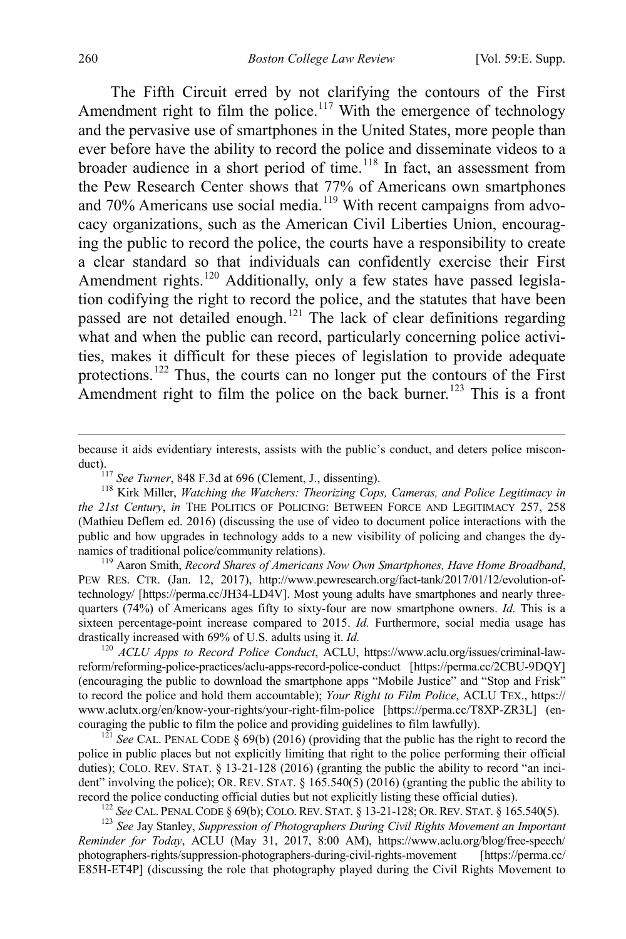The Fifth Circuit erred by not clarifying the contours of the First Amendment right to film the police.<sup>[117](#page-16-0)</sup> With the emergence of technology and the pervasive use of smartphones in the United States, more people than ever before have the ability to record the police and disseminate videos to a broader audience in a short period of time.<sup>[118](#page-16-1)</sup> In fact, an assessment from the Pew Research Center shows that 77% of Americans own smartphones and 70% Americans use social media.<sup>[119](#page-16-2)</sup> With recent campaigns from advocacy organizations, such as the American Civil Liberties Union, encouraging the public to record the police, the courts have a responsibility to create a clear standard so that individuals can confidently exercise their First Amendment rights.<sup>[120](#page-16-3)</sup> Additionally, only a few states have passed legislation codifying the right to record the police, and the statutes that have been passed are not detailed enough.<sup>[121](#page-16-4)</sup> The lack of clear definitions regarding what and when the public can record, particularly concerning police activities, makes it difficult for these pieces of legislation to provide adequate protections.[122](#page-16-5) Thus, the courts can no longer put the contours of the First Amendment right to film the police on the back burner.<sup>[123](#page-16-6)</sup> This is a front

<span id="page-16-2"></span>PEW RES. CTR. (Jan. 12, 2017), http://www.pewresearch.org/fact-tank/2017/01/12/evolution-oftechnology/ [https://perma.cc/JH34-LD4V]. Most young adults have smartphones and nearly threequarters (74%) of Americans ages fifty to sixty-four are now smartphone owners. *Id.* This is a sixteen percentage-point increase compared to 2015. *Id.* Furthermore, social media usage has drastically increased with 69% of U.S. adults using it. *Id.* 120 *ACLU Apps to Record Police Conduct*, ACLU, https://www.aclu.org/issues/criminal-law-

<span id="page-16-3"></span>reform/reforming-police-practices/aclu-apps-record-police-conduct [https://perma.cc/2CBU-9DQY] (encouraging the public to download the smartphone apps "Mobile Justice" and "Stop and Frisk" to record the police and hold them accountable); *Your Right to Film Police*, ACLU TEX., https:// www.aclutx.org/en/know-your-rights/your-right-film-police [https://perma.cc/T8XP-ZR3L] (encouraging the public to film the police and providing guidelines to film lawfully).

<span id="page-16-4"></span> $\frac{121}{2}$  *See* CAL. PENAL CODE § 69(b) (2016) (providing that the public has the right to record the police in public places but not explicitly limiting that right to the police performing their official duties); COLO. REV. STAT. § 13-21-128 (2016) (granting the public the ability to record "an incident" involving the police); OR. REV. STAT. § 165.540(5) (2016) (granting the public the ability to record the police conducting official duties but not explicitly listing these official duties).

<sup>122</sup> See CAL. PENAL CODE § 69(b); COLO. REV. STAT. § 13-21-128; OR. REV. STAT. § 165.540(5).<br><sup>123</sup> See Jay Stanley, Suppression of Photographers During Civil Rights Movement an Important

<span id="page-16-6"></span><span id="page-16-5"></span>*Reminder for Today*, ACLU (May 31, 2017, 8:00 AM), https://www.aclu.org/blog/free-speech/ photographers-rights/suppression-photographers-during-civil-rights-movement [https://perma.cc/ E85H-ET4P] (discussing the role that photography played during the Civil Rights Movement to

because it aids evidentiary interests, assists with the public's conduct, and deters police misconduct).<br><sup>117</sup> *See Turner*, 848 F.3d at 696 (Clement, J., dissenting).<br><sup>118</sup> Kirk Miller, *Watching the Watchers: Theorizing Cops, Cameras, and Police Legitimacy in* 

<span id="page-16-1"></span><span id="page-16-0"></span>*the 21st Century*, *in* THE POLITICS OF POLICING: BETWEEN FORCE AND LEGITIMACY 257, 258 (Mathieu Deflem ed. 2016) (discussing the use of video to document police interactions with the public and how upgrades in technology adds to a new visibility of policing and changes the dynamics of traditional police/community relations).<br><sup>119</sup> Aaron Smith, *Record Shares of Americans Now Own Smartphones, Have Home Broadband*,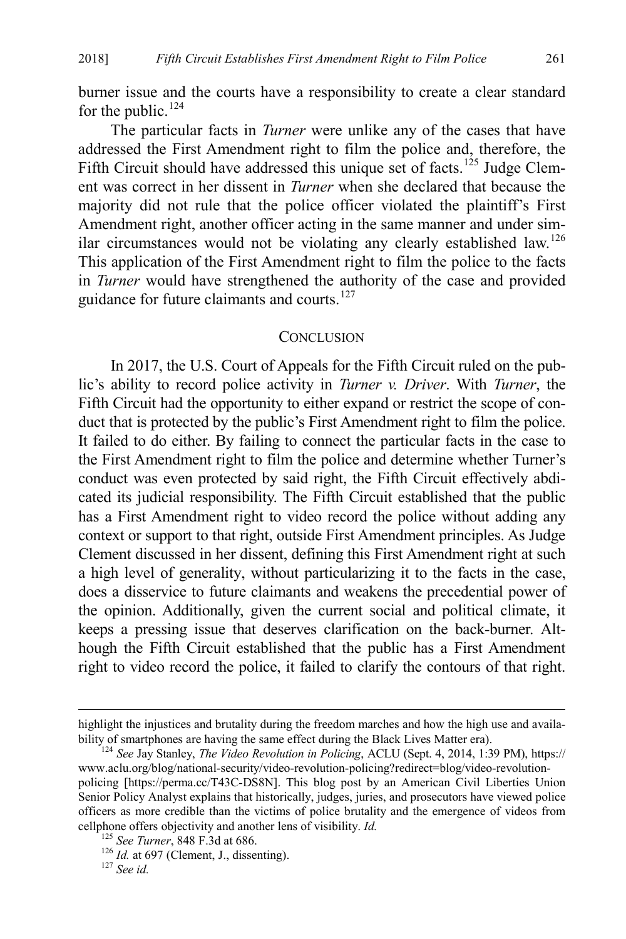burner issue and the courts have a responsibility to create a clear standard for the public.<sup>[124](#page-17-1)</sup>

The particular facts in *Turner* were unlike any of the cases that have addressed the First Amendment right to film the police and, therefore, the Fifth Circuit should have addressed this unique set of facts.<sup>[125](#page-17-2)</sup> Judge Clement was correct in her dissent in *Turner* when she declared that because the majority did not rule that the police officer violated the plaintiff's First Amendment right, another officer acting in the same manner and under similar circumstances would not be violating any clearly established law.[126](#page-17-3) This application of the First Amendment right to film the police to the facts in *Turner* would have strengthened the authority of the case and provided guidance for future claimants and courts.<sup>[127](#page-17-4)</sup>

#### <span id="page-17-0"></span>**CONCLUSION**

In 2017, the U.S. Court of Appeals for the Fifth Circuit ruled on the public's ability to record police activity in *Turner v. Driver*. With *Turner*, the Fifth Circuit had the opportunity to either expand or restrict the scope of conduct that is protected by the public's First Amendment right to film the police. It failed to do either. By failing to connect the particular facts in the case to the First Amendment right to film the police and determine whether Turner's conduct was even protected by said right, the Fifth Circuit effectively abdicated its judicial responsibility. The Fifth Circuit established that the public has a First Amendment right to video record the police without adding any context or support to that right, outside First Amendment principles. As Judge Clement discussed in her dissent, defining this First Amendment right at such a high level of generality, without particularizing it to the facts in the case, does a disservice to future claimants and weakens the precedential power of the opinion. Additionally, given the current social and political climate, it keeps a pressing issue that deserves clarification on the back-burner. Although the Fifth Circuit established that the public has a First Amendment right to video record the police, it failed to clarify the contours of that right.

highlight the injustices and brutality during the freedom marches and how the high use and availability of smartphones are having the same effect during the Black Lives Matter era). <sup>124</sup> *See* Jay Stanley, *The Video Revolution in Policing*, ACLU (Sept. 4, 2014, 1:39 PM), https://

<span id="page-17-1"></span>www.aclu.org/blog/national-security/video-revolution-policing?redirect=blog/video-revolutionpolicing [https://perma.cc/T43C-DS8N]. This blog post by an American Civil Liberties Union Senior Policy Analyst explains that historically, judges, juries, and prosecutors have viewed police officers as more credible than the victims of police brutality and the emergence of videos from cellphone offers objectivity and another lens of visibility. *Id.* <sup>125</sup> *See Turner*, 848 F.3d at 686. <sup>126</sup> *Id.* at 697 (Clement, J., dissenting). <sup>127</sup> *See id.* 

<span id="page-17-3"></span><span id="page-17-2"></span>

<span id="page-17-4"></span>